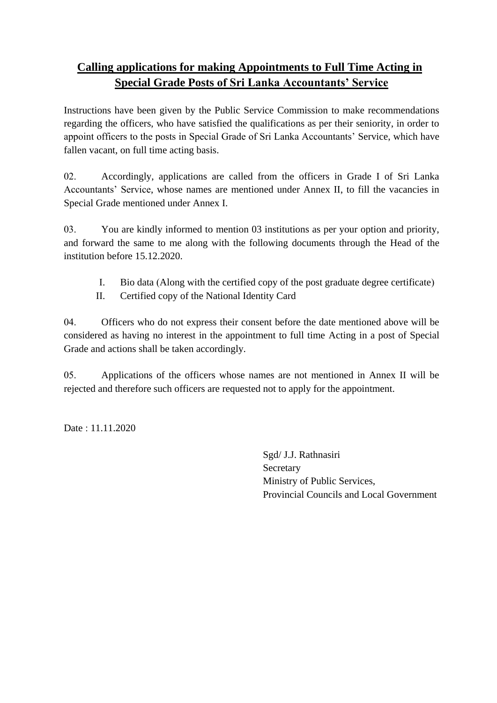## **Calling applications for making Appointments to Full Time Acting in Special Grade Posts of Sri Lanka Accountants' Service**

Instructions have been given by the Public Service Commission to make recommendations regarding the officers, who have satisfied the qualifications as per their seniority, in order to appoint officers to the posts in Special Grade of Sri Lanka Accountants' Service, which have fallen vacant, on full time acting basis.

02. Accordingly, applications are called from the officers in Grade I of Sri Lanka Accountants' Service, whose names are mentioned under Annex II, to fill the vacancies in Special Grade mentioned under Annex I.

03. You are kindly informed to mention 03 institutions as per your option and priority, and forward the same to me along with the following documents through the Head of the institution before 15.12.2020.

- I. Bio data (Along with the certified copy of the post graduate degree certificate)
- II. Certified copy of the National Identity Card

04. Officers who do not express their consent before the date mentioned above will be considered as having no interest in the appointment to full time Acting in a post of Special Grade and actions shall be taken accordingly.

05. Applications of the officers whose names are not mentioned in Annex II will be rejected and therefore such officers are requested not to apply for the appointment.

Date : 11.11.2020

Sgd/ J.J. Rathnasiri Secretary Ministry of Public Services, Provincial Councils and Local Government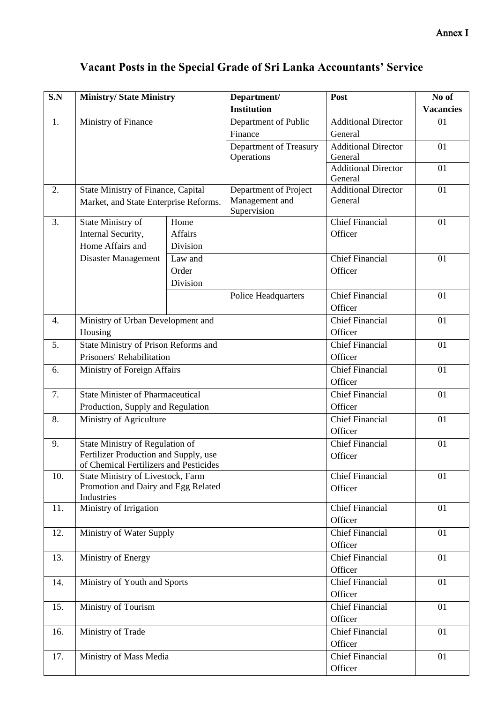| S.N | <b>Ministry/ State Ministry</b>                                                                                    |                | Department/                   | Post                       | No of            |
|-----|--------------------------------------------------------------------------------------------------------------------|----------------|-------------------------------|----------------------------|------------------|
|     |                                                                                                                    |                | <b>Institution</b>            |                            | <b>Vacancies</b> |
| 1.  | Ministry of Finance                                                                                                |                | Department of Public          | <b>Additional Director</b> | 01               |
|     |                                                                                                                    |                | Finance                       | General                    |                  |
|     |                                                                                                                    |                | Department of Treasury        | <b>Additional Director</b> | 01               |
|     |                                                                                                                    |                | Operations                    | General                    |                  |
|     |                                                                                                                    |                |                               | <b>Additional Director</b> | 01               |
|     |                                                                                                                    |                |                               | General                    |                  |
| 2.  | State Ministry of Finance, Capital<br>Market, and State Enterprise Reforms.                                        |                | Department of Project         | <b>Additional Director</b> | 01               |
|     |                                                                                                                    |                | Management and<br>Supervision | General                    |                  |
| 3.  | State Ministry of                                                                                                  | Home           |                               | <b>Chief Financial</b>     | 01               |
|     | Internal Security,                                                                                                 | <b>Affairs</b> |                               | Officer                    |                  |
|     | Home Affairs and                                                                                                   | Division       |                               |                            |                  |
|     | Disaster Management                                                                                                | Law and        |                               | <b>Chief Financial</b>     | 01               |
|     |                                                                                                                    | Order          |                               | Officer                    |                  |
|     |                                                                                                                    | Division       |                               |                            |                  |
|     |                                                                                                                    |                | Police Headquarters           | <b>Chief Financial</b>     | 01               |
|     |                                                                                                                    |                |                               | Officer                    |                  |
| 4.  | Ministry of Urban Development and                                                                                  |                |                               | Chief Financial            | 01               |
|     | Housing                                                                                                            |                |                               | Officer                    |                  |
| 5.  |                                                                                                                    |                |                               | <b>Chief Financial</b>     | 01               |
|     | State Ministry of Prison Reforms and<br>Prisoners' Rehabilitation                                                  |                |                               | Officer                    |                  |
| 6.  | Ministry of Foreign Affairs                                                                                        |                |                               | <b>Chief Financial</b>     | 01               |
|     |                                                                                                                    |                |                               | Officer                    |                  |
| 7.  |                                                                                                                    |                |                               | <b>Chief Financial</b>     | 01               |
|     | <b>State Minister of Pharmaceutical</b>                                                                            |                |                               | Officer                    |                  |
|     | Production, Supply and Regulation<br>Ministry of Agriculture<br>8.                                                 |                |                               | <b>Chief Financial</b>     | 01               |
|     |                                                                                                                    |                |                               | Officer                    |                  |
| 9.  |                                                                                                                    |                |                               | <b>Chief Financial</b>     | 01               |
|     | State Ministry of Regulation of<br>Fertilizer Production and Supply, use<br>of Chemical Fertilizers and Pesticides |                |                               | Officer                    |                  |
|     |                                                                                                                    |                |                               |                            |                  |
| 10. | State Ministry of Livestock, Farm                                                                                  |                |                               | <b>Chief Financial</b>     | 01               |
|     | Promotion and Dairy and Egg Related                                                                                |                |                               | Officer                    |                  |
|     | Industries                                                                                                         |                |                               |                            |                  |
| 11. | Ministry of Irrigation                                                                                             |                |                               | <b>Chief Financial</b>     | 01               |
|     |                                                                                                                    |                |                               | Officer                    |                  |
| 12. | Ministry of Water Supply                                                                                           |                |                               | <b>Chief Financial</b>     | 01               |
|     |                                                                                                                    |                |                               | Officer                    |                  |
| 13. | Ministry of Energy                                                                                                 |                |                               | <b>Chief Financial</b>     | 01               |
|     |                                                                                                                    |                |                               | Officer                    |                  |
| 14. | Ministry of Youth and Sports                                                                                       |                |                               | <b>Chief Financial</b>     | 01               |
|     |                                                                                                                    |                |                               | Officer                    |                  |
| 15. | Ministry of Tourism                                                                                                |                |                               | <b>Chief Financial</b>     | 01               |
|     |                                                                                                                    |                |                               | Officer                    |                  |
| 16. | Ministry of Trade                                                                                                  |                |                               | <b>Chief Financial</b>     | 01               |
|     |                                                                                                                    |                |                               | Officer                    |                  |
| 17. | Ministry of Mass Media                                                                                             |                |                               | <b>Chief Financial</b>     | 01               |
|     |                                                                                                                    |                |                               | Officer                    |                  |

## **Vacant Posts in the Special Grade of Sri Lanka Accountants' Service**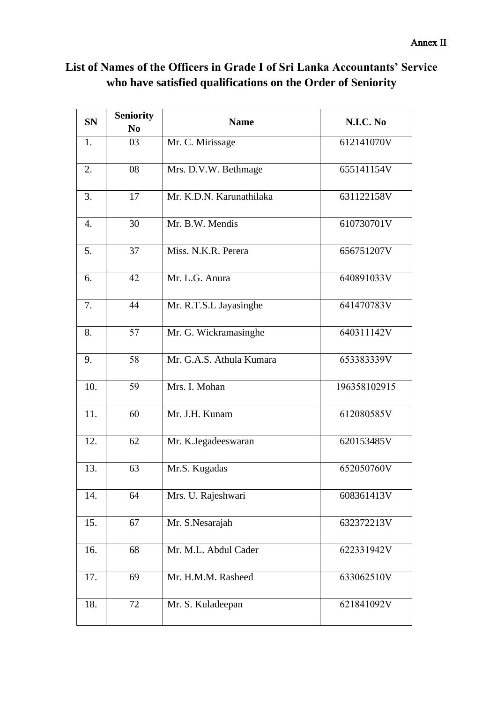| <b>SN</b> | <b>Seniority</b><br>N <sub>0</sub> | <b>Name</b>              | N.I.C. No    |
|-----------|------------------------------------|--------------------------|--------------|
| 1.        | 03                                 | Mr. C. Mirissage         | 612141070V   |
| 2.        | 08                                 | Mrs. D.V.W. Bethmage     | 655141154V   |
| 3.        | 17                                 | Mr. K.D.N. Karunathilaka | 631122158V   |
| 4.        | 30                                 | Mr. B.W. Mendis          | 610730701V   |
| 5.        | 37                                 | Miss. N.K.R. Perera      | 656751207V   |
| 6.        | 42                                 | Mr. L.G. Anura           | 640891033V   |
| 7.        | 44                                 | Mr. R.T.S.L Jayasinghe   | 641470783V   |
| 8.        | 57                                 | Mr. G. Wickramasinghe    | 640311142V   |
| 9.        | 58                                 | Mr. G.A.S. Athula Kumara | 653383339V   |
| 10.       | 59                                 | Mrs. I. Mohan            | 196358102915 |
| 11.       | 60                                 | Mr. J.H. Kunam           | 612080585V   |
| 12.       | 62                                 | Mr. K.Jegadeeswaran      | 620153485V   |
| 13.       | 63                                 | Mr.S. Kugadas            | 652050760V   |
| 14.       | 64                                 | Mrs. U. Rajeshwari       | 608361413V   |
| 15.       | 67                                 | Mr. S.Nesarajah          | 632372213V   |
| 16.       | 68                                 | Mr. M.L. Abdul Cader     | 622331942V   |
| 17.       | 69                                 | Mr. H.M.M. Rasheed       | 633062510V   |
| 18.       | 72                                 | Mr. S. Kuladeepan        | 621841092V   |

## **List of Names of the Officers in Grade I of Sri Lanka Accountants' Service who have satisfied qualifications on the Order of Seniority**